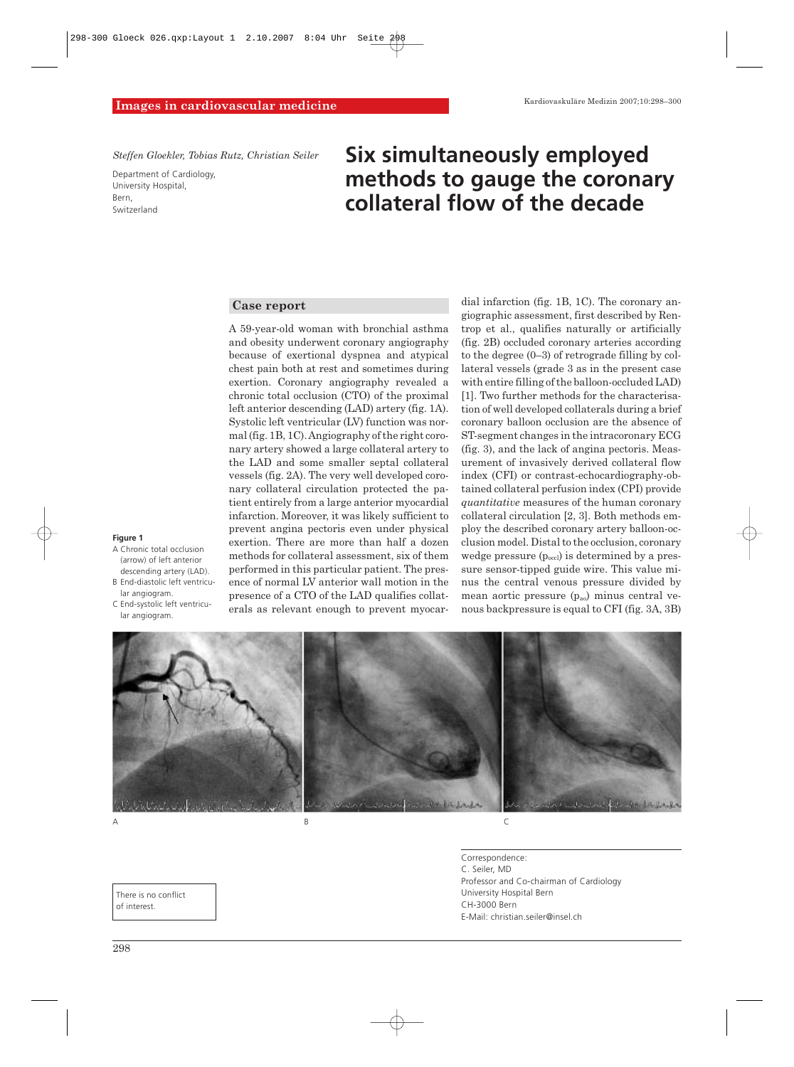*Steffen Gloekler, Tobias Rutz, Christian Seiler* 

Department of Cardiology, University Hospital, Bern, Switzerland

# **Six simultaneously employed methods to gauge the coronary collateral flow of the decade**

### **Case report**

A 59-year-old woman with bronchial asthma and obesity underwent coronary angiography because of exertional dyspnea and atypical chest pain both at rest and sometimes during exertion. Coronary angiography revealed a chronic total occlusion (CTO) of the proximal left anterior descending (LAD) artery (fig. 1A). Systolic left ventricular (LV) function was normal (fig. 1B, 1C). Angiography of the right coronary artery showed a large collateral artery to the LAD and some smaller septal collateral vessels (fig. 2A). The very well developed coronary collateral circulation protected the patient entirely from a large anterior myocardial infarction. Moreover, it was likely sufficient to prevent angina pectoris even under physical exertion. There are more than half a dozen methods for collateral assessment, six of them performed in this particular patient. The presence of normal LV anterior wall motion in the presence of a CTO of the LAD qualifies collaterals as relevant enough to prevent myocardial infarction (fig. 1B, 1C). The coronary angiographic assessment, first described by Rentrop et al., qualifies naturally or artificially (fig. 2B) occluded coronary arteries according to the degree (0–3) of retrograde filling by collateral vessels (grade 3 as in the present case with entire filling of the balloon-occluded LAD) [1]. Two further methods for the characterisation of well developed collaterals during a brief coronary balloon occlusion are the absence of ST-segment changes in the intracoronary ECG (fig. 3), and the lack of angina pectoris. Measurement of invasively derived collateral flow index (CFI) or contrast-echocardiography-obtained collateral perfusion index (CPI) provide *quantitative* measures of the human coronary collateral circulation [2, 3]. Both methods employ the described coronary artery balloon-occlusion model. Distal to the occlusion, coronary wedge pressure  $(p_{\text{occl}})$  is determined by a pressure sensor-tipped guide wire. This value minus the central venous pressure divided by mean aortic pressure  $(p_{a0})$  minus central venous backpressure is equal to CFI (fig. 3A, 3B)



- **Figure 1**
- A Chronic total occlusion (arrow) of left anterior descending artery (LAD).
- B End-diastolic left ventricular angiogram.
- C End-systolic left ventricular angiogram.



Correspondence: C. Seiler, MD Professor and Co-chairman of Cardiology University Hospital Bern CH-3000 Bern E-Mail: christian.seiler@insel.ch

There is no conflict of interest.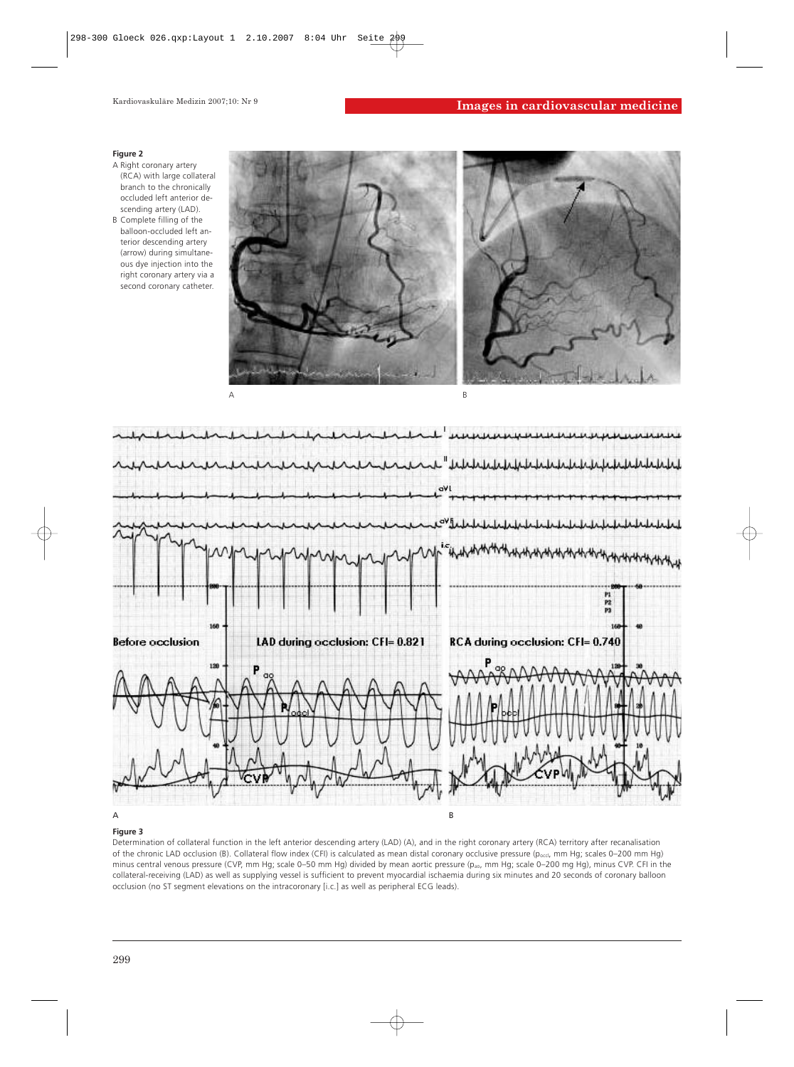#### **Figure 2**

- A Right coronary artery (RCA) with large collateral branch to the chronically occluded left anterior descending artery (LAD).
- B Complete filling of the balloon-occluded left anterior descending artery (arrow) during simultaneous dye injection into the right coronary artery via a second coronary catheter.





#### **Figure 3**

Determination of collateral function in the left anterior descending artery (LAD) (A), and in the right coronary artery (RCA) territory after recanalisation of the chronic LAD occlusion (B). Collateral flow index (CFI) is calculated as mean distal coronary occlusive pressure ( $p_{\text{occl}}$ , mm Hg; scales 0–200 mm Hg) minus central venous pressure (CVP, mm Hg; scale 0–50 mm Hg) divided by mean aortic pressure ( $p_{ao}$ , mm Hg; scale 0–200 mg Hg), minus CVP. CFI in the collateral-receiving (LAD) as well as supplying vessel is sufficient to prevent myocardial ischaemia during six minutes and 20 seconds of coronary balloon occlusion (no ST segment elevations on the intracoronary [i.c.] as well as peripheral ECG leads).